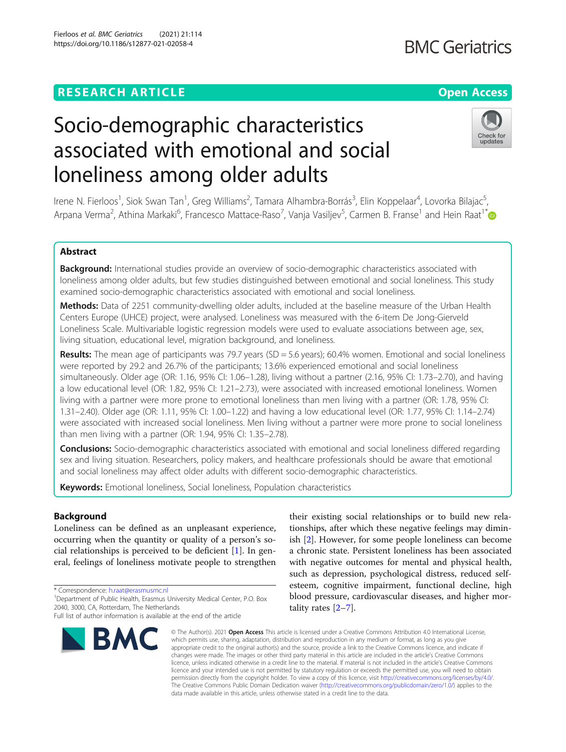# **RESEARCH ARTICLE Example 2014 12:30 The Contract of Contract ACCESS**

# Socio-demographic characteristics associated with emotional and social loneliness among older adults

Irene N. Fierloos<sup>1</sup>, Siok Swan Tan<sup>1</sup>, Greg Williams<sup>2</sup>, Tamara Alhambra-Borrás<sup>3</sup>, Elin Koppelaar<sup>4</sup>, Lovorka Bilajac<sup>5</sup> , Arpana Verma<sup>2</sup>, Athina Markaki<sup>6</sup>, Francesco Mattace-Raso<sup>7</sup>, Vanja Vasiljev<sup>5</sup>, Carmen B. Franse<sup>1</sup> and Hein Raat<sup>1\*</sup>

# Abstract

Background: International studies provide an overview of socio-demographic characteristics associated with loneliness among older adults, but few studies distinguished between emotional and social loneliness. This study examined socio-demographic characteristics associated with emotional and social loneliness.

Methods: Data of 2251 community-dwelling older adults, included at the baseline measure of the Urban Health Centers Europe (UHCE) project, were analysed. Loneliness was measured with the 6-item De Jong-Gierveld Loneliness Scale. Multivariable logistic regression models were used to evaluate associations between age, sex, living situation, educational level, migration background, and loneliness.

Results: The mean age of participants was 79.7 years (SD = 5.6 years); 60.4% women. Emotional and social loneliness were reported by 29.2 and 26.7% of the participants; 13.6% experienced emotional and social loneliness simultaneously. Older age (OR: 1.16, 95% CI: 1.06–1.28), living without a partner (2.16, 95% CI: 1.73–2.70), and having a low educational level (OR: 1.82, 95% CI: 1.21–2.73), were associated with increased emotional loneliness. Women living with a partner were more prone to emotional loneliness than men living with a partner (OR: 1.78, 95% CI: 1.31–2.40). Older age (OR: 1.11, 95% CI: 1.00–1.22) and having a low educational level (OR: 1.77, 95% CI: 1.14–2.74) were associated with increased social loneliness. Men living without a partner were more prone to social loneliness than men living with a partner (OR: 1.94, 95% CI: 1.35–2.78).

**Conclusions:** Socio-demographic characteristics associated with emotional and social loneliness differed regarding sex and living situation. Researchers, policy makers, and healthcare professionals should be aware that emotional and social loneliness may affect older adults with different socio-demographic characteristics.

Keywords: Emotional loneliness, Social loneliness, Population characteristics

# Background

Loneliness can be defined as an unpleasant experience, occurring when the quantity or quality of a person's social relationships is perceived to be deficient [[1\]](#page-8-0). In general, feelings of loneliness motivate people to strengthen

\* Correspondence: [h.raat@erasmusmc.nl](mailto:h.raat@erasmusmc.nl) <sup>1</sup>

**BMC** 

their existing social relationships or to build new relationships, after which these negative feelings may dimin-

© The Author(s), 2021 **Open Access** This article is licensed under a Creative Commons Attribution 4.0 International License, which permits use, sharing, adaptation, distribution and reproduction in any medium or format, as long as you give appropriate credit to the original author(s) and the source, provide a link to the Creative Commons licence, and indicate if changes were made. The images or other third party material in this article are included in the article's Creative Commons licence, unless indicated otherwise in a credit line to the material. If material is not included in the article's Creative Commons licence and your intended use is not permitted by statutory regulation or exceeds the permitted use, you will need to obtain permission directly from the copyright holder. To view a copy of this licence, visit [http://creativecommons.org/licenses/by/4.0/.](http://creativecommons.org/licenses/by/4.0/) The Creative Commons Public Domain Dedication waiver [\(http://creativecommons.org/publicdomain/zero/1.0/](http://creativecommons.org/publicdomain/zero/1.0/)) applies to the data made available in this article, unless otherwise stated in a credit line to the data.

ish [[2\]](#page-8-0). However, for some people loneliness can become a chronic state. Persistent loneliness has been associated with negative outcomes for mental and physical health, such as depression, psychological distress, reduced selfesteem, cognitive impairment, functional decline, high blood pressure, cardiovascular diseases, and higher mortality rates [\[2](#page-8-0)–[7](#page-8-0)].





<sup>&</sup>lt;sup>1</sup> Department of Public Health, Erasmus University Medical Center, P.O. Box 2040, 3000, CA, Rotterdam, The Netherlands

Full list of author information is available at the end of the article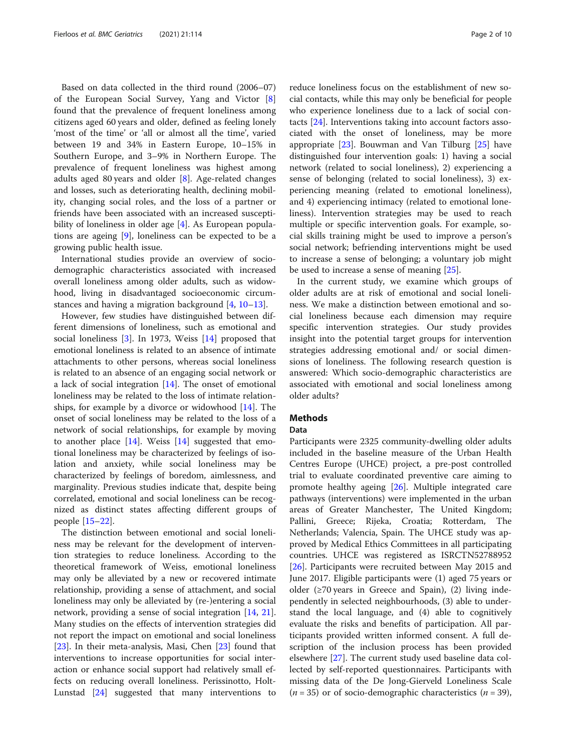Based on data collected in the third round (2006–07) of the European Social Survey, Yang and Victor [\[8](#page-8-0)] found that the prevalence of frequent loneliness among citizens aged 60 years and older, defined as feeling lonely 'most of the time' or 'all or almost all the time', varied between 19 and 34% in Eastern Europe, 10–15% in Southern Europe, and 3–9% in Northern Europe. The prevalence of frequent loneliness was highest among adults aged 80 years and older [\[8](#page-8-0)]. Age-related changes and losses, such as deteriorating health, declining mobility, changing social roles, and the loss of a partner or friends have been associated with an increased suscepti-bility of loneliness in older age [[4\]](#page-8-0). As European populations are ageing [[9](#page-8-0)], loneliness can be expected to be a growing public health issue.

International studies provide an overview of sociodemographic characteristics associated with increased overall loneliness among older adults, such as widowhood, living in disadvantaged socioeconomic circumstances and having a migration background [\[4](#page-8-0), [10](#page-8-0)–[13\]](#page-8-0).

However, few studies have distinguished between different dimensions of loneliness, such as emotional and social loneliness [[3\]](#page-8-0). In 1973, Weiss [[14](#page-8-0)] proposed that emotional loneliness is related to an absence of intimate attachments to other persons, whereas social loneliness is related to an absence of an engaging social network or a lack of social integration [[14\]](#page-8-0). The onset of emotional loneliness may be related to the loss of intimate relationships, for example by a divorce or widowhood  $[14]$  $[14]$ . The onset of social loneliness may be related to the loss of a network of social relationships, for example by moving to another place  $[14]$  $[14]$  $[14]$ . Weiss  $[14]$  $[14]$  suggested that emotional loneliness may be characterized by feelings of isolation and anxiety, while social loneliness may be characterized by feelings of boredom, aimlessness, and marginality. Previous studies indicate that, despite being correlated, emotional and social loneliness can be recognized as distinct states affecting different groups of people [[15](#page-8-0)–[22](#page-8-0)].

The distinction between emotional and social loneliness may be relevant for the development of intervention strategies to reduce loneliness. According to the theoretical framework of Weiss, emotional loneliness may only be alleviated by a new or recovered intimate relationship, providing a sense of attachment, and social loneliness may only be alleviated by (re-)entering a social network, providing a sense of social integration [[14,](#page-8-0) [21](#page-8-0)]. Many studies on the effects of intervention strategies did not report the impact on emotional and social loneliness [[23\]](#page-8-0). In their meta-analysis, Masi, Chen [[23\]](#page-8-0) found that interventions to increase opportunities for social interaction or enhance social support had relatively small effects on reducing overall loneliness. Perissinotto, Holt-Lunstad [\[24](#page-8-0)] suggested that many interventions to reduce loneliness focus on the establishment of new social contacts, while this may only be beneficial for people who experience loneliness due to a lack of social contacts [[24\]](#page-8-0). Interventions taking into account factors associated with the onset of loneliness, may be more appropriate  $[23]$  $[23]$ . Bouwman and Van Tilburg  $[25]$  $[25]$  $[25]$  have distinguished four intervention goals: 1) having a social network (related to social loneliness), 2) experiencing a sense of belonging (related to social loneliness), 3) experiencing meaning (related to emotional loneliness), and 4) experiencing intimacy (related to emotional loneliness). Intervention strategies may be used to reach multiple or specific intervention goals. For example, social skills training might be used to improve a person's social network; befriending interventions might be used to increase a sense of belonging; a voluntary job might be used to increase a sense of meaning [\[25](#page-8-0)].

In the current study, we examine which groups of older adults are at risk of emotional and social loneliness. We make a distinction between emotional and social loneliness because each dimension may require specific intervention strategies. Our study provides insight into the potential target groups for intervention strategies addressing emotional and/ or social dimensions of loneliness. The following research question is answered: Which socio-demographic characteristics are associated with emotional and social loneliness among older adults?

# Methods

#### Data

Participants were 2325 community-dwelling older adults included in the baseline measure of the Urban Health Centres Europe (UHCE) project, a pre-post controlled trial to evaluate coordinated preventive care aiming to promote healthy ageing [[26](#page-8-0)]. Multiple integrated care pathways (interventions) were implemented in the urban areas of Greater Manchester, The United Kingdom; Pallini, Greece; Rijeka, Croatia; Rotterdam, The Netherlands; Valencia, Spain. The UHCE study was approved by Medical Ethics Committees in all participating countries. UHCE was registered as ISRCTN52788952 [[26\]](#page-8-0). Participants were recruited between May 2015 and June 2017. Eligible participants were (1) aged 75 years or older (≥70 years in Greece and Spain), (2) living independently in selected neighbourhoods, (3) able to understand the local language, and (4) able to cognitively evaluate the risks and benefits of participation. All participants provided written informed consent. A full description of the inclusion process has been provided elsewhere [[27](#page-8-0)]. The current study used baseline data collected by self-reported questionnaires. Participants with missing data of the De Jong-Gierveld Loneliness Scale  $(n = 35)$  or of socio-demographic characteristics  $(n = 39)$ ,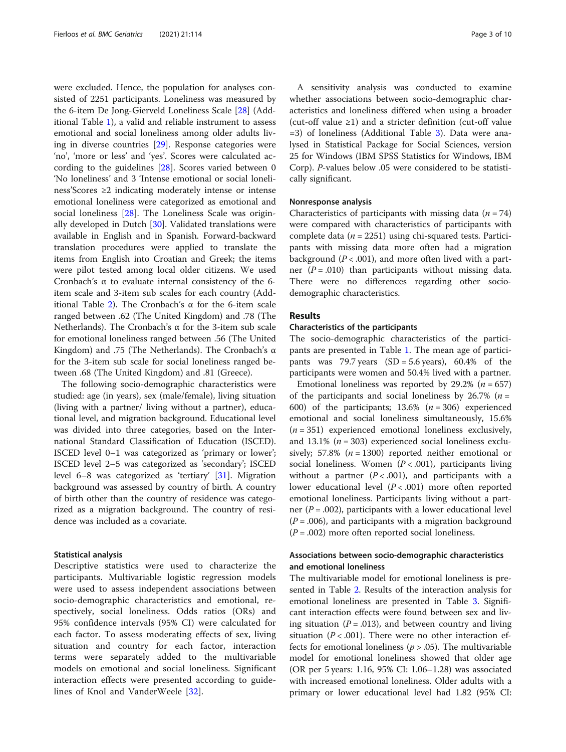were excluded. Hence, the population for analyses consisted of 2251 participants. Loneliness was measured by the 6-item De Jong-Gierveld Loneliness Scale [\[28](#page-8-0)] (Additional Table [1\)](#page-7-0), a valid and reliable instrument to assess emotional and social loneliness among older adults living in diverse countries [\[29](#page-8-0)]. Response categories were 'no', 'more or less' and 'yes'. Scores were calculated according to the guidelines [\[28](#page-8-0)]. Scores varied between 0 'No loneliness' and 3 'Intense emotional or social loneliness'Scores ≥2 indicating moderately intense or intense emotional loneliness were categorized as emotional and social loneliness [\[28](#page-8-0)]. The Loneliness Scale was originally developed in Dutch [[30](#page-8-0)]. Validated translations were available in English and in Spanish. Forward-backward translation procedures were applied to translate the items from English into Croatian and Greek; the items were pilot tested among local older citizens. We used Cronbach's α to evaluate internal consistency of the 6 item scale and 3-item sub scales for each country (Add-itional Table [2](#page-7-0)). The Cronbach's α for the 6-item scale ranged between .62 (The United Kingdom) and .78 (The Netherlands). The Cronbach's α for the 3-item sub scale for emotional loneliness ranged between .56 (The United Kingdom) and .75 (The Netherlands). The Cronbach's  $\alpha$ for the 3-item sub scale for social loneliness ranged between .68 (The United Kingdom) and .81 (Greece).

The following socio-demographic characteristics were studied: age (in years), sex (male/female), living situation (living with a partner/ living without a partner), educational level, and migration background. Educational level was divided into three categories, based on the International Standard Classification of Education (ISCED). ISCED level 0–1 was categorized as 'primary or lower'; ISCED level 2–5 was categorized as 'secondary'; ISCED level 6–8 was categorized as 'tertiary' [\[31](#page-8-0)]. Migration background was assessed by country of birth. A country of birth other than the country of residence was categorized as a migration background. The country of residence was included as a covariate.

## Statistical analysis

Descriptive statistics were used to characterize the participants. Multivariable logistic regression models were used to assess independent associations between socio-demographic characteristics and emotional, respectively, social loneliness. Odds ratios (ORs) and 95% confidence intervals (95% CI) were calculated for each factor. To assess moderating effects of sex, living situation and country for each factor, interaction terms were separately added to the multivariable models on emotional and social loneliness. Significant interaction effects were presented according to guidelines of Knol and VanderWeele [[32\]](#page-8-0).

A sensitivity analysis was conducted to examine whether associations between socio-demographic characteristics and loneliness differed when using a broader (cut-off value  $\geq 1$ ) and a stricter definition (cut-off value =3) of loneliness (Additional Table [3](#page-7-0)). Data were analysed in Statistical Package for Social Sciences, version 25 for Windows (IBM SPSS Statistics for Windows, IBM Corp). P-values below .05 were considered to be statistically significant.

#### Nonresponse analysis

Characteristics of participants with missing data  $(n = 74)$ were compared with characteristics of participants with complete data ( $n = 2251$ ) using chi-squared tests. Participants with missing data more often had a migration background ( $P < .001$ ), and more often lived with a partner  $(P = .010)$  than participants without missing data. There were no differences regarding other sociodemographic characteristics.

# Results

## Characteristics of the participants

The socio-demographic characteristics of the participants are presented in Table [1.](#page-3-0) The mean age of participants was 79.7 years  $(SD = 5.6 \text{ years})$ , 60.4% of the participants were women and 50.4% lived with a partner.

Emotional loneliness was reported by 29.2% ( $n = 657$ ) of the participants and social loneliness by 26.7% ( $n =$ 600) of the participants;  $13.6\%$  ( $n = 306$ ) experienced emotional and social loneliness simultaneously, 15.6%  $(n = 351)$  experienced emotional loneliness exclusively, and 13.1% ( $n = 303$ ) experienced social loneliness exclusively; 57.8% ( $n = 1300$ ) reported neither emotional or social loneliness. Women  $(P < .001)$ , participants living without a partner  $(P < .001)$ , and participants with a lower educational level  $(P < .001)$  more often reported emotional loneliness. Participants living without a partner ( $P = .002$ ), participants with a lower educational level  $(P=.006)$ , and participants with a migration background  $(P = .002)$  more often reported social loneliness.

# Associations between socio-demographic characteristics and emotional loneliness

The multivariable model for emotional loneliness is presented in Table [2.](#page-4-0) Results of the interaction analysis for emotional loneliness are presented in Table [3](#page-4-0). Significant interaction effects were found between sex and living situation ( $P = .013$ ), and between country and living situation ( $P < .001$ ). There were no other interaction effects for emotional loneliness ( $p > .05$ ). The multivariable model for emotional loneliness showed that older age (OR per 5 years: 1.16, 95% CI: 1.06–1.28) was associated with increased emotional loneliness. Older adults with a primary or lower educational level had 1.82 (95% CI: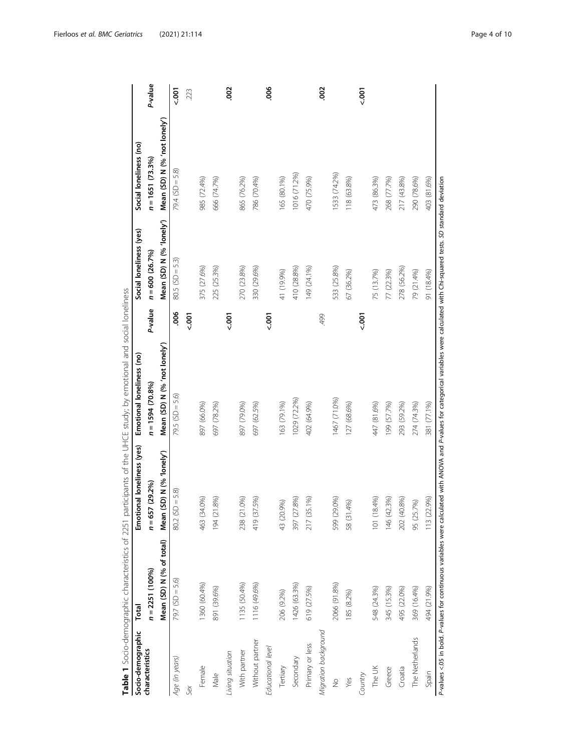<span id="page-3-0"></span>

|                      |                          |                            | Table 1 Socio-demographic characteristics of 2251 participants of the UHCE study; by emotional and social loneliness                                                                     |             |                          |                              |             |
|----------------------|--------------------------|----------------------------|------------------------------------------------------------------------------------------------------------------------------------------------------------------------------------------|-------------|--------------------------|------------------------------|-------------|
| Socio-demographic    | Total                    | Emotional loneliness (yes) | Emotional loneliness (no)                                                                                                                                                                |             | Social loneliness (yes)  | Social loneliness (no)       |             |
| characteristics      | $n = 2251(100%)$         | $n = 657(29.2\%)$          | $n = 1594(70.8\%)$                                                                                                                                                                       | P-value     | $n = 600(26.7%)$         | $n = 1651(73.3%)$            | P-value     |
|                      | Mean (SD) N (% of total) | Mean (SD) N (% 1onely')    | Mean (SD) N (% 'not lonely')                                                                                                                                                             |             | Mean (SD) N (% 'lonely') | Mean (SD) N (% 'not lonely') |             |
| Age (in years)       | $79.7$ (SD = 5.6)        | $80.2$ (SD = 5.8)          | $79.5$ (SD = 5.6)                                                                                                                                                                        | 8           | $80.5(SD = 5.3)$         | $79.4$ (SD = 5.8)            | $500 - 700$ |
| Sex                  |                          |                            |                                                                                                                                                                                          | 5001        |                          |                              | 223         |
| Female               | 1360 (60.4%)             | $(0\%)$<br>463 (34         | 897 (66.0%)                                                                                                                                                                              |             | 375 (27.6%)              | 985 (72.4%)                  |             |
| Male                 | 891 (39.6%)              | 8%)<br>194 (21             | 697 (78.2%)                                                                                                                                                                              |             | 225 (25.3%)              | 666 (74.7%)                  |             |
| Living situation     |                          |                            |                                                                                                                                                                                          | $500 - 700$ |                          |                              | <b>SO</b>   |
| With partner         | 1135 (50.4%)             | O%<br>238 (21.             | 897 (79.0%)                                                                                                                                                                              |             | 270 (23.8%)              | 865 (76.2%)                  |             |
| Without partner      | 1116 (49.6%)             | 5%)<br>419 (37             | 697 (62.5%)                                                                                                                                                                              |             | 330 (29.6%)              | 786 (70.4%)                  |             |
| Educational level    |                          |                            |                                                                                                                                                                                          | $500 - 700$ |                          |                              | .006        |
| Tertiary             | 206 (9.2%)               | 43 (20.9%)                 | 163 (79.1%)                                                                                                                                                                              |             | 41 (19.9%)               | 165 (80.1%)                  |             |
| Secondary            | 1426 (63.3%)             | (98)<br>397 (27.           | 1029 (72.2%)                                                                                                                                                                             |             | 410 (28.8%)              | 1016 (71.2%)                 |             |
| Primary or less      | 619 (27.5%)              | 217 (35.1%)                | 402 (64.9%)                                                                                                                                                                              |             | 149 (24.1%)              | 470 (75.9%)                  |             |
| Migration background |                          |                            |                                                                                                                                                                                          | 499         |                          |                              | 8           |
| $\frac{1}{2}$        | 2066 (91.8%)             | 0%)<br>599 (29.            | 1467 (71.0%)                                                                                                                                                                             |             | 533 (25.8%)              | 1533 (74.2%)                 |             |
| Yes                  | 185 (8.2%)               | 58 (31.4%)                 | 127 (68.6%)                                                                                                                                                                              |             | 67 (36.2%)               | 118 (63.8%)                  |             |
| Country              |                          |                            |                                                                                                                                                                                          | $500 - 7$   |                          |                              | $500 -$     |
| The UK               | 548 (24.3%)              | 101 (18.4%)                | 447 (81.6%)                                                                                                                                                                              |             | 75 (13.7%)               | 473 (86.3%)                  |             |
| Greece               | 345 (15.3%)              | 146 (42.3%)                | 199 (57.7%)                                                                                                                                                                              |             | 77 (22.3%)               | 268 (77.7%)                  |             |
| Croatia              | 495 (22.0%)              | 0.8%<br>202 (40            | 293 (59.2%)                                                                                                                                                                              |             | 278 (56.2%)              | 217 (43.8%)                  |             |
| The Netherlands      | 369 (16.4%)              | 95 (25.7%)                 | 274 (74.3%)                                                                                                                                                                              |             | 79 (21.4%)               | 290 (78.6%)                  |             |
| Spain                | 494 (21.9%)              | 13 (22.9%)                 | 381 (77.1%)                                                                                                                                                                              |             | 91 (18.4%)               | 403 (81.6%)                  |             |
|                      |                          |                            | P-values <.05 in bold. P-values for continuous variables were calculated with ANOVA and P-values for categorical variables were calculated with Chi-squared tests. SD standard deviation |             |                          |                              |             |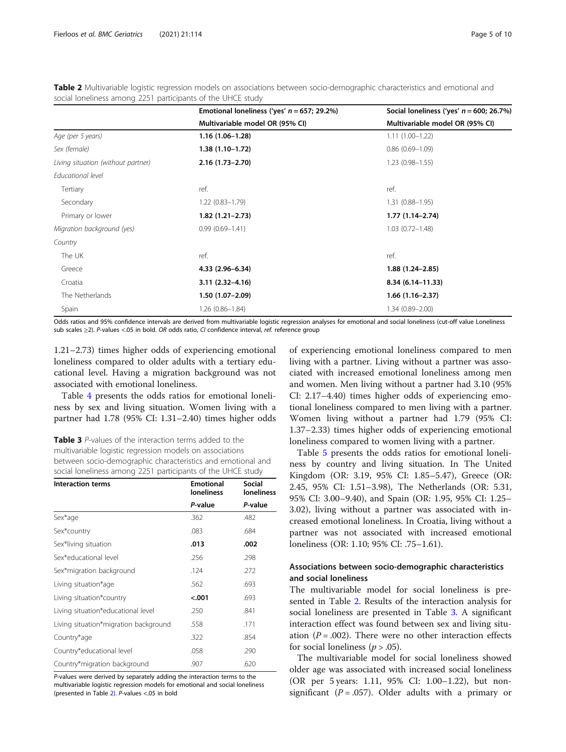| Emotional loneliness ('yes' $n = 657$ ; 29.2%) | Social loneliness ('yes' $n = 600$ ; 26.7%) |
|------------------------------------------------|---------------------------------------------|
| Multivariable model OR (95% CI)                | Multivariable model OR (95% CI)             |
| 1.16 (1.06-1.28)                               | $1.11(1.00-1.22)$                           |
| $1.38(1.10-1.72)$                              | $0.86(0.69 - 1.09)$                         |
| $2.16(1.73 - 2.70)$                            | $1.23(0.98 - 1.55)$                         |
|                                                |                                             |
| ref.                                           | ref.                                        |
| $1.22(0.83 - 1.79)$                            | $1.31(0.88 - 1.95)$                         |
| $1.82(1.21-2.73)$                              | $1.77(1.14 - 2.74)$                         |
| $0.99(0.69 - 1.41)$                            | $1.03(0.72 - 1.48)$                         |
|                                                |                                             |
| ref.                                           | ref.                                        |
| 4.33 (2.96-6.34)                               | $1.88(1.24 - 2.85)$                         |
| $3.11(2.32 - 4.16)$                            | $8.34(6.14 - 11.33)$                        |
| $1.50(1.07-2.09)$                              | $1.66(1.16-2.37)$                           |
| $1.26(0.86 - 1.84)$                            | $1.34(0.89 - 2.00)$                         |
|                                                |                                             |

<span id="page-4-0"></span>Table 2 Multivariable logistic regression models on associations between socio-demographic characteristics and emotional and social loneliness among 2251 participants of the UHCE study

Odds ratios and 95% confidence intervals are derived from multivariable logistic regression analyses for emotional and social loneliness (cut-off value Loneliness sub scales ≥2). P-values <.05 in bold. OR odds ratio, CI confidence interval, ref. reference group

1.21–2.73) times higher odds of experiencing emotional loneliness compared to older adults with a tertiary educational level. Having a migration background was not associated with emotional loneliness.

Table [4](#page-5-0) presents the odds ratios for emotional loneliness by sex and living situation. Women living with a partner had 1.78 (95% CI: 1.31–2.40) times higher odds

Table 3 P-values of the interaction terms added to the multivariable logistic regression models on associations between socio-demographic characteristics and emotional and social loneliness among 2251 participants of the UHCE study

| <b>Interaction terms</b>              | <b>Emotional</b><br><b>loneliness</b> | <b>Social</b><br>loneliness |
|---------------------------------------|---------------------------------------|-----------------------------|
|                                       | P-value                               | P-value                     |
| Sex*age                               | .362                                  | .482                        |
| Sex*country                           | .083                                  | .684                        |
| Sex*living situation                  | .013                                  | .002                        |
| Sex*educational level                 | .256                                  | .298                        |
| Sex*migration background              | .124                                  | .272                        |
| Living situation*age                  | .562                                  | .693                        |
| Living situation*country              | < .001                                | .693                        |
| Living situation*educational level    | .250                                  | .841                        |
| Living situation*migration background | .558                                  | .171                        |
| Country*age                           | .322                                  | .854                        |
| Country*educational level             | .058                                  | .290                        |
| Country*migration background          | .907                                  | .620                        |

P-values were derived by separately adding the interaction terms to the multivariable logistic regression models for emotional and social loneliness (presented in Table 2). P-values <.05 in bold

of experiencing emotional loneliness compared to men living with a partner. Living without a partner was associated with increased emotional loneliness among men and women. Men living without a partner had 3.10 (95% CI: 2.17–4.40) times higher odds of experiencing emotional loneliness compared to men living with a partner. Women living without a partner had 1.79 (95% CI: 1.37–2.33) times higher odds of experiencing emotional loneliness compared to women living with a partner.

Table [5](#page-5-0) presents the odds ratios for emotional loneliness by country and living situation. In The United Kingdom (OR: 3.19, 95% CI: 1.85–5.47), Greece (OR: 2.45, 95% CI: 1.51–3.98), The Netherlands (OR: 5.31, 95% CI: 3.00–9.40), and Spain (OR: 1.95, 95% CI: 1.25– 3.02), living without a partner was associated with increased emotional loneliness. In Croatia, living without a partner was not associated with increased emotional loneliness (OR: 1.10; 95% CI: .75–1.61).

# Associations between socio-demographic characteristics and social loneliness

The multivariable model for social loneliness is presented in Table 2. Results of the interaction analysis for social loneliness are presented in Table 3. A significant interaction effect was found between sex and living situation ( $P = .002$ ). There were no other interaction effects for social loneliness ( $p > .05$ ).

The multivariable model for social loneliness showed older age was associated with increased social loneliness (OR per 5 years: 1.11, 95% CI: 1.00–1.22), but nonsignificant ( $P = .057$ ). Older adults with a primary or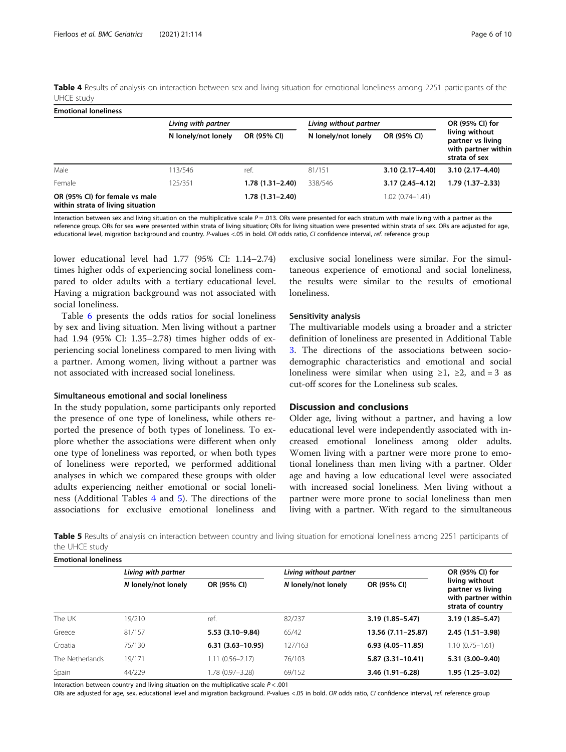<span id="page-5-0"></span>Table 4 Results of analysis on interaction between sex and living situation for emotional loneliness among 2251 participants of the UHCE study

| <b>Emotional loneliness</b>                                         |                     |                     |                        |                     |                                                                             |
|---------------------------------------------------------------------|---------------------|---------------------|------------------------|---------------------|-----------------------------------------------------------------------------|
|                                                                     | Living with partner |                     | Living without partner |                     | OR (95% CI) for                                                             |
|                                                                     | N lonely/not lonely | OR (95% CI)         | N lonely/not lonely    | OR (95% CI)         | living without<br>partner vs living<br>with partner within<br>strata of sex |
| Male                                                                | 113/546             | ref.                | 81/151                 | $3.10(2.17 - 4.40)$ | $3.10(2.17 - 4.40)$                                                         |
| Female                                                              | 125/351             | $1.78(1.31 - 2.40)$ | 338/546                | $3.17(2.45 - 4.12)$ | 1.79 (1.37–2.33)                                                            |
| OR (95% CI) for female vs male<br>within strata of living situation |                     | 1.78 (1.31-2.40)    |                        | $1.02(0.74 - 1.41)$ |                                                                             |

Interaction between sex and living situation on the multiplicative scale  $P = .013$ . ORs were presented for each stratum with male living with a partner as the reference group. ORs for sex were presented within strata of living situation; ORs for living situation were presented within strata of sex. ORs are adjusted for age, educational level, migration background and country. P-values <.05 in bold. OR odds ratio, CI confidence interval, ref. reference group

lower educational level had 1.77 (95% CI: 1.14–2.74) times higher odds of experiencing social loneliness compared to older adults with a tertiary educational level. Having a migration background was not associated with social loneliness.

Table [6](#page-6-0) presents the odds ratios for social loneliness by sex and living situation. Men living without a partner had 1.94 (95% CI: 1.35–2.78) times higher odds of experiencing social loneliness compared to men living with a partner. Among women, living without a partner was not associated with increased social loneliness.

## Simultaneous emotional and social loneliness

In the study population, some participants only reported the presence of one type of loneliness, while others reported the presence of both types of loneliness. To explore whether the associations were different when only one type of loneliness was reported, or when both types of loneliness were reported, we performed additional analyses in which we compared these groups with older adults experiencing neither emotional or social loneliness (Additional Tables [4](#page-7-0) and [5\)](#page-7-0). The directions of the associations for exclusive emotional loneliness and exclusive social loneliness were similar. For the simultaneous experience of emotional and social loneliness, the results were similar to the results of emotional loneliness.

# Sensitivity analysis

The multivariable models using a broader and a stricter definition of loneliness are presented in Additional Table [3.](#page-7-0) The directions of the associations between sociodemographic characteristics and emotional and social loneliness were similar when using  $\geq 1$ ,  $\geq 2$ , and = 3 as cut-off scores for the Loneliness sub scales.

# Discussion and conclusions

Older age, living without a partner, and having a low educational level were independently associated with increased emotional loneliness among older adults. Women living with a partner were more prone to emotional loneliness than men living with a partner. Older age and having a low educational level were associated with increased social loneliness. Men living without a partner were more prone to social loneliness than men living with a partner. With regard to the simultaneous

Table 5 Results of analysis on interaction between country and living situation for emotional loneliness among 2251 participants of the UHCE study

| <b>Emotional loneliness</b> |                     |                      |                        |                      |                                                                                 |
|-----------------------------|---------------------|----------------------|------------------------|----------------------|---------------------------------------------------------------------------------|
|                             | Living with partner |                      | Living without partner | OR (95% CI) for      |                                                                                 |
|                             | N lonely/not lonely | OR (95% CI)          | N lonely/not lonely    | OR (95% CI)          | living without<br>partner vs living<br>with partner within<br>strata of country |
| The UK                      | 19/210              | ref.                 | 82/237                 | $3.19(1.85 - 5.47)$  | $3.19(1.85 - 5.47)$                                                             |
| Greece                      | 81/157              | $5.53(3.10-9.84)$    | 65/42                  | 13.56 (7.11-25.87)   | $2.45(1.51-3.98)$                                                               |
| Croatia                     | 75/130              | $6.31(3.63 - 10.95)$ | 127/163                | $6.93(4.05 - 11.85)$ | $1.10(0.75 - 1.61)$                                                             |
| The Netherlands             | 19/171              | $1.11(0.56 - 2.17)$  | 76/103                 | $5.87(3.31-10.41)$   | 5.31 (3.00-9.40)                                                                |
| Spain                       | 44/229              | 1.78 (0.97-3.28)     | 69/152                 | 3.46 (1.91-6.28)     | 1.95 (1.25–3.02)                                                                |

Interaction between country and living situation on the multiplicative scale  $P < .001$ 

ORs are adjusted for age, sex, educational level and migration background. P-values <.05 in bold. OR odds ratio, CI confidence interval, ref. reference group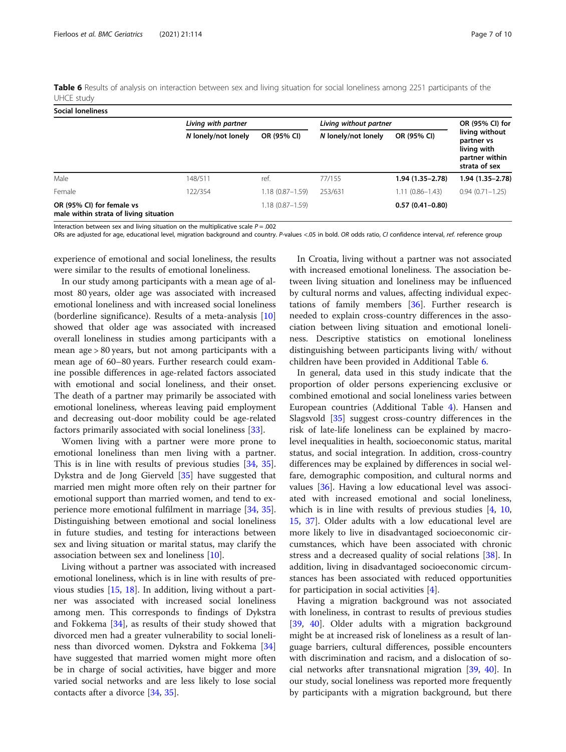<span id="page-6-0"></span>

| Table 6 Results of analysis on interaction between sex and living situation for social loneliness among 2251 participants of the |  |  |
|----------------------------------------------------------------------------------------------------------------------------------|--|--|
| UHCE study                                                                                                                       |  |  |

| Social loneliness                                                   |                     |                     |                        |                     |                                                                                |
|---------------------------------------------------------------------|---------------------|---------------------|------------------------|---------------------|--------------------------------------------------------------------------------|
|                                                                     | Living with partner |                     | Living without partner |                     | OR (95% CI) for                                                                |
|                                                                     | N lonely/not lonely | OR (95% CI)         | N lonely/not lonely    | OR (95% CI)         | living without<br>partner vs<br>living with<br>partner within<br>strata of sex |
| Male                                                                | 148/511             | ref.                | 77/155                 | 1.94 (1.35-2.78)    | 1.94 (1.35-2.78)                                                               |
| Female                                                              | 122/354             | $1.18(0.87 - 1.59)$ | 253/631                | $1.11(0.86 - 1.43)$ | $0.94(0.71 - 1.25)$                                                            |
| OR (95% CI) for female vs<br>male within strata of living situation |                     | $1.18(0.87 - 1.59)$ |                        | $0.57(0.41 - 0.80)$ |                                                                                |

Interaction between sex and living situation on the multiplicative scale  $P = .002$ 

ORs are adjusted for age, educational level, migration background and country. P-values <.05 in bold. OR odds ratio, CI confidence interval, ref. reference group

experience of emotional and social loneliness, the results were similar to the results of emotional loneliness.

In our study among participants with a mean age of almost 80 years, older age was associated with increased emotional loneliness and with increased social loneliness (borderline significance). Results of a meta-analysis [[10](#page-8-0)] showed that older age was associated with increased overall loneliness in studies among participants with a mean age > 80 years, but not among participants with a mean age of 60–80 years. Further research could examine possible differences in age-related factors associated with emotional and social loneliness, and their onset. The death of a partner may primarily be associated with emotional loneliness, whereas leaving paid employment and decreasing out-door mobility could be age-related factors primarily associated with social loneliness [[33\]](#page-8-0).

Women living with a partner were more prone to emotional loneliness than men living with a partner. This is in line with results of previous studies [\[34](#page-8-0), [35](#page-8-0)]. Dykstra and de Jong Gierveld [\[35](#page-8-0)] have suggested that married men might more often rely on their partner for emotional support than married women, and tend to experience more emotional fulfilment in marriage [\[34,](#page-8-0) [35](#page-8-0)]. Distinguishing between emotional and social loneliness in future studies, and testing for interactions between sex and living situation or marital status, may clarify the association between sex and loneliness [[10\]](#page-8-0).

Living without a partner was associated with increased emotional loneliness, which is in line with results of previous studies [\[15](#page-8-0), [18\]](#page-8-0). In addition, living without a partner was associated with increased social loneliness among men. This corresponds to findings of Dykstra and Fokkema [\[34](#page-8-0)], as results of their study showed that divorced men had a greater vulnerability to social loneliness than divorced women. Dykstra and Fokkema [[34](#page-8-0)] have suggested that married women might more often be in charge of social activities, have bigger and more varied social networks and are less likely to lose social contacts after a divorce [\[34](#page-8-0), [35\]](#page-8-0).

In Croatia, living without a partner was not associated with increased emotional loneliness. The association between living situation and loneliness may be influenced by cultural norms and values, affecting individual expectations of family members [[36](#page-8-0)]. Further research is needed to explain cross-country differences in the association between living situation and emotional loneliness. Descriptive statistics on emotional loneliness distinguishing between participants living with/ without children have been provided in Additional Table [6.](#page-7-0)

In general, data used in this study indicate that the proportion of older persons experiencing exclusive or combined emotional and social loneliness varies between European countries (Additional Table [4\)](#page-7-0). Hansen and Slagsvold [[35](#page-8-0)] suggest cross-country differences in the risk of late-life loneliness can be explained by macrolevel inequalities in health, socioeconomic status, marital status, and social integration. In addition, cross-country differences may be explained by differences in social welfare, demographic composition, and cultural norms and values [\[36\]](#page-8-0). Having a low educational level was associated with increased emotional and social loneliness, which is in line with results of previous studies [\[4](#page-8-0), [10](#page-8-0), [15,](#page-8-0) [37](#page-8-0)]. Older adults with a low educational level are more likely to live in disadvantaged socioeconomic circumstances, which have been associated with chronic stress and a decreased quality of social relations [\[38](#page-9-0)]. In addition, living in disadvantaged socioeconomic circumstances has been associated with reduced opportunities for participation in social activities  $[4]$  $[4]$ .

Having a migration background was not associated with loneliness, in contrast to results of previous studies [[39,](#page-9-0) [40](#page-9-0)]. Older adults with a migration background might be at increased risk of loneliness as a result of language barriers, cultural differences, possible encounters with discrimination and racism, and a dislocation of social networks after transnational migration [[39](#page-9-0), [40\]](#page-9-0). In our study, social loneliness was reported more frequently by participants with a migration background, but there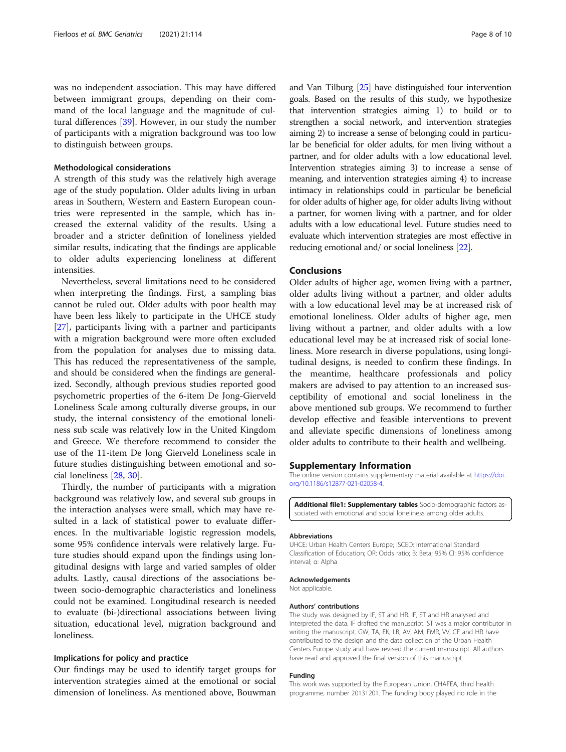<span id="page-7-0"></span>was no independent association. This may have differed between immigrant groups, depending on their command of the local language and the magnitude of cultural differences [\[39\]](#page-9-0). However, in our study the number of participants with a migration background was too low to distinguish between groups.

## Methodological considerations

A strength of this study was the relatively high average age of the study population. Older adults living in urban areas in Southern, Western and Eastern European countries were represented in the sample, which has increased the external validity of the results. Using a broader and a stricter definition of loneliness yielded similar results, indicating that the findings are applicable to older adults experiencing loneliness at different intensities.

Nevertheless, several limitations need to be considered when interpreting the findings. First, a sampling bias cannot be ruled out. Older adults with poor health may have been less likely to participate in the UHCE study [[27\]](#page-8-0), participants living with a partner and participants with a migration background were more often excluded from the population for analyses due to missing data. This has reduced the representativeness of the sample, and should be considered when the findings are generalized. Secondly, although previous studies reported good psychometric properties of the 6-item De Jong-Gierveld Loneliness Scale among culturally diverse groups, in our study, the internal consistency of the emotional loneliness sub scale was relatively low in the United Kingdom and Greece. We therefore recommend to consider the use of the 11-item De Jong Gierveld Loneliness scale in future studies distinguishing between emotional and social loneliness [[28](#page-8-0), [30](#page-8-0)].

Thirdly, the number of participants with a migration background was relatively low, and several sub groups in the interaction analyses were small, which may have resulted in a lack of statistical power to evaluate differences. In the multivariable logistic regression models, some 95% confidence intervals were relatively large. Future studies should expand upon the findings using longitudinal designs with large and varied samples of older adults. Lastly, causal directions of the associations between socio-demographic characteristics and loneliness could not be examined. Longitudinal research is needed to evaluate (bi-)directional associations between living situation, educational level, migration background and loneliness.

# Implications for policy and practice

Our findings may be used to identify target groups for intervention strategies aimed at the emotional or social dimension of loneliness. As mentioned above, Bouwman and Van Tilburg [\[25\]](#page-8-0) have distinguished four intervention goals. Based on the results of this study, we hypothesize that intervention strategies aiming 1) to build or to strengthen a social network, and intervention strategies aiming 2) to increase a sense of belonging could in particular be beneficial for older adults, for men living without a partner, and for older adults with a low educational level. Intervention strategies aiming 3) to increase a sense of meaning, and intervention strategies aiming 4) to increase intimacy in relationships could in particular be beneficial for older adults of higher age, for older adults living without a partner, for women living with a partner, and for older adults with a low educational level. Future studies need to evaluate which intervention strategies are most effective in reducing emotional and/ or social loneliness [\[22](#page-8-0)].

# Conclusions

Older adults of higher age, women living with a partner, older adults living without a partner, and older adults with a low educational level may be at increased risk of emotional loneliness. Older adults of higher age, men living without a partner, and older adults with a low educational level may be at increased risk of social loneliness. More research in diverse populations, using longitudinal designs, is needed to confirm these findings. In the meantime, healthcare professionals and policy makers are advised to pay attention to an increased susceptibility of emotional and social loneliness in the above mentioned sub groups. We recommend to further develop effective and feasible interventions to prevent and alleviate specific dimensions of loneliness among older adults to contribute to their health and wellbeing.

#### Supplementary Information

The online version contains supplementary material available at [https://doi.](https://doi.org/10.1186/s12877-021-02058-4) [org/10.1186/s12877-021-02058-4.](https://doi.org/10.1186/s12877-021-02058-4)

Additional file1: Supplementary tables Socio-demographic factors associated with emotional and social loneliness among older adults.

#### Abbreviations

UHCE: Urban Health Centers Europe; ISCED: International Standard Classification of Education; OR: Odds ratio; B: Beta; 95% CI: 95% confidence interval; α: Alpha

#### Acknowledgements

Not applicable.

#### Authors' contributions

The study was designed by IF, ST and HR. IF, ST and HR analysed and interpreted the data. IF drafted the manuscript. ST was a major contributor in writing the manuscript. GW, TA, EK, LB, AV, AM, FMR, VV, CF and HR have contributed to the design and the data collection of the Urban Health Centers Europe study and have revised the current manuscript. All authors have read and approved the final version of this manuscript.

#### Funding

This work was supported by the European Union, CHAFEA, third health programme, number 20131201. The funding body played no role in the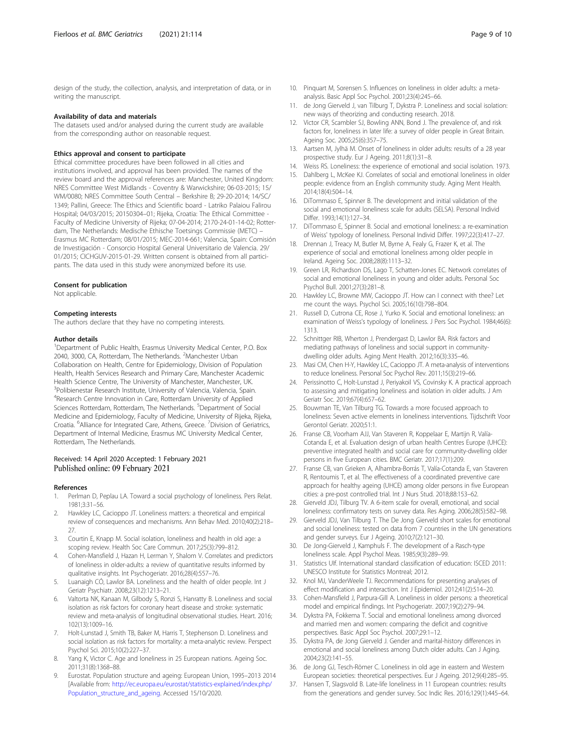<span id="page-8-0"></span>design of the study, the collection, analysis, and interpretation of data, or in writing the manuscript.

# Availability of data and materials

The datasets used and/or analysed during the current study are available from the corresponding author on reasonable request.

#### Ethics approval and consent to participate

Ethical committee procedures have been followed in all cities and institutions involved, and approval has been provided. The names of the review board and the approval references are: Manchester, United Kingdom: NRES Committee West Midlands - Coventry & Warwickshire; 06-03-2015; 15/ WM/0080; NRES Committee South Central – Berkshire B; 29-20-2014; 14/SC/ 1349; Pallini, Greece: The Ethics and Scientific board - Latriko Palaiou Falirou Hospital; 04/03/2015; 20150304–01; Rijeka, Croatia: The Ethical Committee - Faculty of Medicine University of Rijeka; 07-04-2014; 2170-24-01-14-02; Rotterdam, The Netherlands: Medische Ethische Toetsings Commissie (METC) – Erasmus MC Rotterdam; 08/01/2015; MEC-2014-661; Valencia, Spain: Comisión de Investigación - Consorcio Hospital General Universitario de Valencia. 29/ 01/2015; CICHGUV-2015-01-29. Written consent is obtained from all participants. The data used in this study were anonymized before its use.

#### Consent for publication

Not applicable.

#### Competing interests

The authors declare that they have no competing interests.

#### Author details

<sup>1</sup>Department of Public Health, Erasmus University Medical Center, P.O. Box 2040, 3000, CA, Rotterdam, The Netherlands. <sup>2</sup>Manchester Urban Collaboration on Health, Centre for Epidemiology, Division of Population Health, Health Services Research and Primary Care, Manchester Academic Health Science Centre, The University of Manchester, Manchester, UK. <sup>3</sup>Polibienestar Research Institute, University of Valencia, Valencia, Spain. 4 Research Centre Innovation in Care, Rotterdam University of Applied Sciences Rotterdam, Rotterdam, The Netherlands. <sup>5</sup>Department of Social Medicine and Epidemiology, Faculty of Medicine, University of Rijeka, Rijeka, Croatia. <sup>6</sup> Alliance for Integrated Care, Athens, Greece. <sup>7</sup> Division of Geriatrics, Department of Internal Medicine, Erasmus MC University Medical Center, Rotterdam, The Netherlands.

# Received: 14 April 2020 Accepted: 1 February 2021 Published online: 09 February 2021

#### References

- Perlman D, Peplau LA. Toward a social psychology of loneliness. Pers Relat. 1981;3:31–56.
- 2. Hawkley LC, Cacioppo JT. Loneliness matters: a theoretical and empirical review of consequences and mechanisms. Ann Behav Med. 2010;40(2):218– 27.
- 3. Courtin E, Knapp M. Social isolation, loneliness and health in old age: a scoping review. Health Soc Care Commun. 2017;25(3):799–812.
- 4. Cohen-Mansfield J, Hazan H, Lerman Y, Shalom V. Correlates and predictors of loneliness in older-adults: a review of quantitative results informed by qualitative insights. Int Psychogeriatr. 2016;28(4):557–76.
- 5. Luanaigh CÓ, Lawlor BA. Loneliness and the health of older people. Int J Geriatr Psychiatr. 2008;23(12):1213–21.
- 6. Valtorta NK, Kanaan M, Gilbody S, Ronzi S, Hanratty B. Loneliness and social isolation as risk factors for coronary heart disease and stroke: systematic review and meta-analysis of longitudinal observational studies. Heart. 2016; 102(13):1009–16.
- 7. Holt-Lunstad J, Smith TB, Baker M, Harris T, Stephenson D. Loneliness and social isolation as risk factors for mortality: a meta-analytic review. Perspect Psychol Sci. 2015;10(2):227–37.
- Yang K, Victor C. Age and loneliness in 25 European nations. Ageing Soc. 2011;31(8):1368–88.
- 9. Eurostat. Population structure and ageing: European Union, 1995–2013 2014 [Available from: [http://ec.europa.eu/eurostat/statistics-explained/index.php/](http://ec.europa.eu/eurostat/statistics-explained/index.php/Population_structure_and_ageing) [Population\\_structure\\_and\\_ageing.](http://ec.europa.eu/eurostat/statistics-explained/index.php/Population_structure_and_ageing) Accessed 15/10/2020.
- 10. Pinquart M, Sorensen S. Influences on loneliness in older adults: a metaanalysis. Basic Appl Soc Psychol. 2001;23(4):245–66.
- 11. de Jong Gierveld J, van Tilburg T, Dykstra P, Loneliness and social isolation: new ways of theorizing and conducting research. 2018.
- 12. Victor CR, Scambler SJ, Bowling ANN, Bond J. The prevalence of, and risk factors for, loneliness in later life: a survey of older people in Great Britain. Ageing Soc. 2005;25(6):357–75.
- 13. Aartsen M, Jylhä M. Onset of loneliness in older adults: results of a 28 year prospective study. Eur J Ageing. 2011;8(1):31–8.
- 14. Weiss RS. Loneliness: the experience of emotional and social isolation. 1973.
- 15. Dahlberg L, McKee KJ. Correlates of social and emotional loneliness in older people: evidence from an English community study. Aging Ment Health. 2014;18(4):504–14.
- 16. DiTommaso E, Spinner B. The development and initial validation of the social and emotional loneliness scale for adults (SELSA). Personal Individ Differ. 1993;14(1):127–34.
- 17. DiTommaso E, Spinner B. Social and emotional loneliness: a re-examination of Weiss' typology of loneliness. Personal Individ Differ. 1997;22(3):417–27.
- 18. Drennan J, Treacy M, Butler M, Byrne A, Fealy G, Frazer K, et al. The experience of social and emotional loneliness among older people in Ireland. Ageing Soc. 2008;28(8):1113–32.
- 19. Green LR, Richardson DS, Lago T, Schatten-Jones EC. Network correlates of social and emotional loneliness in young and older adults. Personal Soc Psychol Bull. 2001;27(3):281–8.
- 20. Hawkley LC, Browne MW, Cacioppo JT. How can I connect with thee? Let me count the ways. Psychol Sci. 2005;16(10):798–804.
- 21. Russell D, Cutrona CE, Rose J, Yurko K. Social and emotional loneliness: an examination of Weiss's typology of loneliness. J Pers Soc Psychol. 1984;46(6): 1313.
- 22. Schnittger RIB, Wherton J, Prendergast D, Lawlor BA. Risk factors and mediating pathways of loneliness and social support in communitydwelling older adults. Aging Ment Health. 2012;16(3):335–46.
- 23. Masi CM, Chen H-Y, Hawkley LC, Cacioppo JT. A meta-analysis of interventions to reduce loneliness. Personal Soc Psychol Rev. 2011;15(3):219–66.
- 24. Perissinotto C, Holt-Lunstad J, Periyakoil VS, Covinsky K. A practical approach to assessing and mitigating loneliness and isolation in older adults. J Am Geriatr Soc. 2019;67(4):657–62.
- 25. Bouwman TE, Van Tilburg TG. Towards a more focused approach to loneliness: Seven active elements in loneliness interventions. Tijdschrift Voor Gerontol Geriatr. 2020;51:1.
- 26. Franse CB, Voorham AJJ, Van Staveren R, Koppelaar E, Martijn R, Valía-Cotanda E, et al. Evaluation design of urban health Centres Europe (UHCE): preventive integrated health and social care for community-dwelling older persons in five European cities. BMC Geriatr. 2017;17(1):209.
- 27. Franse CB, van Grieken A, Alhambra-Borrás T, Valía-Cotanda E, van Staveren R, Rentoumis T, et al. The effectiveness of a coordinated preventive care approach for healthy ageing (UHCE) among older persons in five European cities: a pre-post controlled trial. Int J Nurs Stud. 2018;88:153–62.
- 28. Gierveld JDJ, Tilburg TV. A 6-item scale for overall, emotional, and social loneliness: confirmatory tests on survey data. Res Aging. 2006;28(5):582–98.
- 29. Gierveld JDJ, Van Tilburg T. The De Jong Gierveld short scales for emotional and social loneliness: tested on data from 7 countries in the UN generations and gender surveys. Eur J Ageing. 2010;7(2):121–30.
- 30. De Jong-Gierveld J, Kamphuls F. The development of a Rasch-type loneliness scale. Appl Psychol Meas. 1985;9(3):289–99.
- 31. Statistics UIf. International standard classification of education: ISCED 2011: UNESCO Institute for Statistics Montreal; 2012.
- 32. Knol MJ, VanderWeele TJ. Recommendations for presenting analyses of effect modification and interaction. Int J Epidemiol. 2012;41(2):514–20.
- 33. Cohen-Mansfield J, Parpura-Gill A. Loneliness in older persons: a theoretical model and empirical findings. Int Psychogeriatr. 2007;19(2):279–94.
- 34. Dykstra PA, Fokkema T. Social and emotional loneliness among divorced and married men and women: comparing the deficit and cognitive perspectives. Basic Appl Soc Psychol. 2007;29:1–12.
- 35. Dykstra PA, de Jong Gierveld J. Gender and marital-history differences in emotional and social loneliness among Dutch older adults. Can J Aging. 2004;23(2):141–55.
- 36. de Jong GJ, Tesch-Römer C. Loneliness in old age in eastern and Western European societies: theoretical perspectives. Eur J Ageing. 2012;9(4):285–95.
- 37. Hansen T, Slagsvold B. Late-life loneliness in 11 European countries: results from the generations and gender survey. Soc Indic Res. 2016;129(1):445–64.